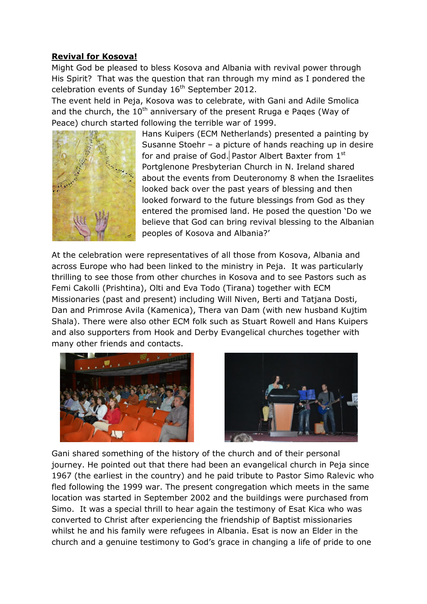## **Revival for Kosova!**

Might God be pleased to bless Kosova and Albania with revival power through His Spirit? That was the question that ran through my mind as I pondered the celebration events of Sunday  $16<sup>th</sup>$  September 2012.

The event held in Peja, Kosova was to celebrate, with Gani and Adile Smolica and the church, the  $10<sup>th</sup>$  anniversary of the present Rruga e Pages (Way of Peace) church started following the terrible war of 1999.



Hans Kuipers (ECM Netherlands) presented a painting by Susanne Stoehr – a picture of hands reaching up in desire for and praise of God. Pastor Albert Baxter from 1st Portglenone Presbyterian Church in N. Ireland shared about the events from Deuteronomy 8 when the Israelites looked back over the past years of blessing and then looked forward to the future blessings from God as they entered the promised land. He posed the question 'Do we believe that God can bring revival blessing to the Albanian peoples of Kosova and Albania?'

At the celebration were representatives of all those from Kosova, Albania and across Europe who had been linked to the ministry in Peja. It was particularly thrilling to see those from other churches in Kosova and to see Pastors such as Femi Cakolli (Prishtina), Olti and Eva Todo (Tirana) together with ECM Missionaries (past and present) including Will Niven, Berti and Tatjana Dosti, Dan and Primrose Avila (Kamenica), Thera van Dam (with new husband Kujtim Shala). There were also other ECM folk such as Stuart Rowell and Hans Kuipers and also supporters from Hook and Derby Evangelical churches together with many other friends and contacts.





Gani shared something of the history of the church and of their personal journey. He pointed out that there had been an evangelical church in Peja since 1967 (the earliest in the country) and he paid tribute to Pastor Simo Ralevic who fled following the 1999 war. The present congregation which meets in the same location was started in September 2002 and the buildings were purchased from Simo. It was a special thrill to hear again the testimony of Esat Kica who was converted to Christ after experiencing the friendship of Baptist missionaries whilst he and his family were refugees in Albania. Esat is now an Elder in the church and a genuine testimony to God's grace in changing a life of pride to one